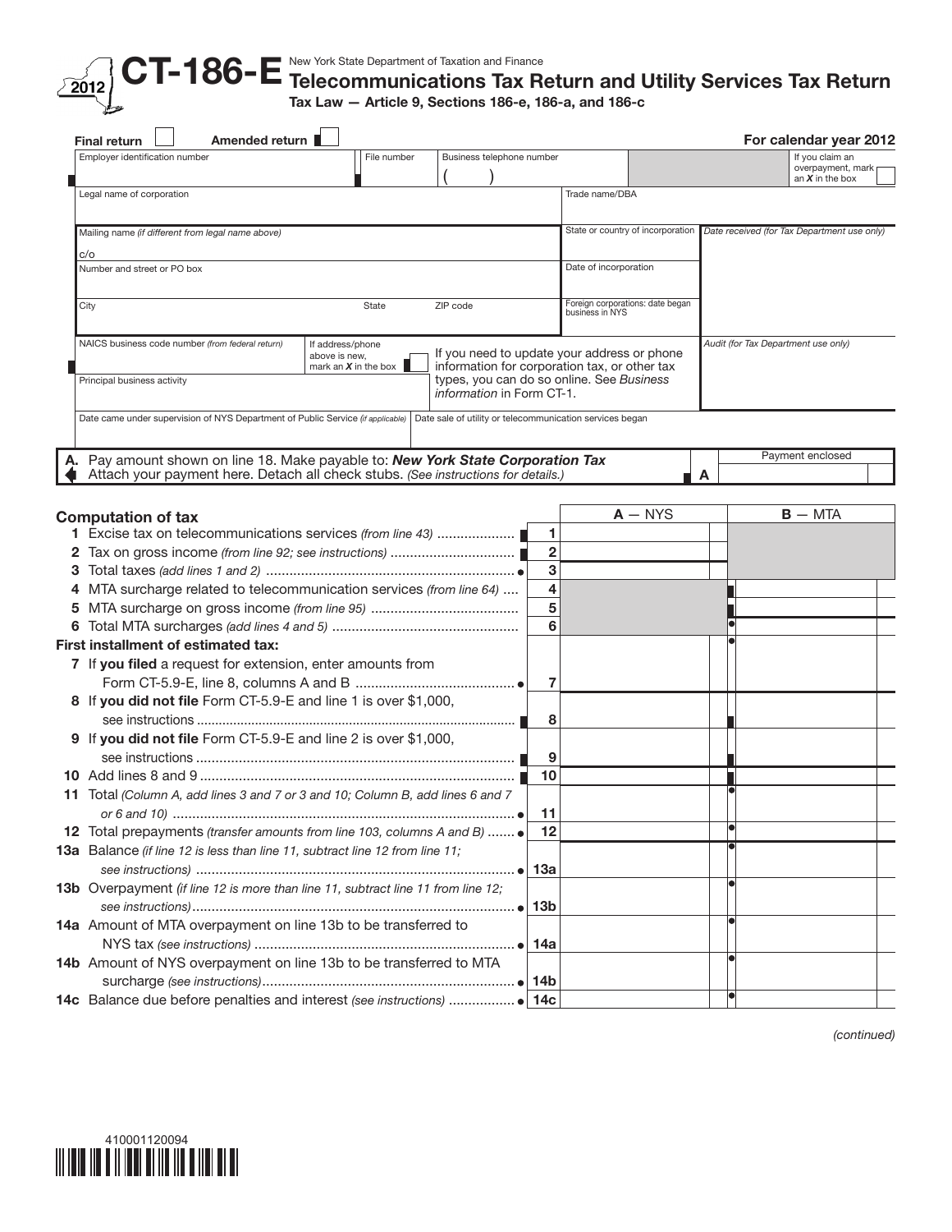

## Telecommunications Tax Return and Utility Services Tax Return Tax Law — Article 9, Sections 186-e, 186-a, and 186-c

|    | <b>Final return</b>                | Amended return                                                                    |                                                     |          |                           |                              |                                                          |                                   |           | For calendar year 2012                      |  |
|----|------------------------------------|-----------------------------------------------------------------------------------|-----------------------------------------------------|----------|---------------------------|------------------------------|----------------------------------------------------------|-----------------------------------|-----------|---------------------------------------------|--|
|    | Employer identification number     |                                                                                   | File number                                         |          | Business telephone number |                              |                                                          |                                   |           | If you claim an                             |  |
|    |                                    |                                                                                   |                                                     |          |                           |                              |                                                          |                                   |           | overpayment, mark<br>an $X$ in the box      |  |
|    | Legal name of corporation          |                                                                                   |                                                     |          |                           |                              | Trade name/DBA                                           |                                   |           |                                             |  |
|    |                                    | Mailing name (if different from legal name above)                                 |                                                     |          |                           |                              |                                                          | State or country of incorporation |           | Date received (for Tax Department use only) |  |
|    |                                    |                                                                                   |                                                     |          |                           |                              |                                                          |                                   |           |                                             |  |
|    | c/o<br>Number and street or PO box |                                                                                   |                                                     |          |                           |                              | Date of incorporation                                    |                                   |           |                                             |  |
|    |                                    |                                                                                   |                                                     |          |                           |                              |                                                          |                                   |           |                                             |  |
|    | City                               |                                                                                   | State                                               | ZIP code |                           |                              | business in NYS                                          | Foreign corporations: date began  |           |                                             |  |
|    |                                    | NAICS business code number (from federal return)                                  | If address/phone                                    |          |                           |                              | If you need to update your address or phone              |                                   |           | Audit (for Tax Department use only)         |  |
|    |                                    |                                                                                   | above is new,<br>mark an $X$ in the box $\parallel$ |          |                           |                              | information for corporation tax, or other tax            |                                   |           |                                             |  |
|    | Principal business activity        |                                                                                   |                                                     |          | information in Form CT-1. |                              | types, you can do so online. See Business                |                                   |           |                                             |  |
|    |                                    | Date came under supervision of NYS Department of Public Service (if applicable)   |                                                     |          |                           |                              | Date sale of utility or telecommunication services began |                                   |           |                                             |  |
|    |                                    |                                                                                   |                                                     |          |                           |                              |                                                          |                                   |           |                                             |  |
| А. |                                    | Pay amount shown on line 18. Make payable to: New York State Corporation Tax      |                                                     |          |                           |                              |                                                          |                                   |           | Payment enclosed                            |  |
|    |                                    | Attach your payment here. Detach all check stubs. (See instructions for details.) |                                                     |          |                           |                              |                                                          |                                   | A         |                                             |  |
|    |                                    |                                                                                   |                                                     |          |                           |                              |                                                          |                                   |           |                                             |  |
|    | <b>Computation of tax</b>          |                                                                                   |                                                     |          |                           |                              |                                                          | $A - NYS$                         |           | $B - MTA$                                   |  |
|    |                                    |                                                                                   |                                                     |          |                           | 1                            |                                                          |                                   |           |                                             |  |
| 2  |                                    |                                                                                   |                                                     |          |                           | $\overline{2}$               |                                                          |                                   |           |                                             |  |
| 3  |                                    |                                                                                   |                                                     |          |                           | 3                            |                                                          |                                   |           |                                             |  |
|    |                                    | MTA surcharge related to telecommunication services (from line 64)                |                                                     |          |                           | $\overline{\mathbf{4}}$<br>5 |                                                          |                                   |           |                                             |  |
| 5  |                                    |                                                                                   |                                                     |          |                           | 6                            |                                                          |                                   |           |                                             |  |
| 6  |                                    |                                                                                   |                                                     |          |                           |                              |                                                          |                                   |           |                                             |  |
|    |                                    | First installment of estimated tax:                                               |                                                     |          |                           |                              |                                                          |                                   |           |                                             |  |
|    |                                    | 7 If you filed a request for extension, enter amounts from                        |                                                     |          |                           |                              |                                                          |                                   |           |                                             |  |
|    |                                    |                                                                                   |                                                     |          |                           | $\overline{7}$               |                                                          |                                   |           |                                             |  |
|    |                                    | 8 If you did not file Form CT-5.9-E and line 1 is over \$1,000,                   |                                                     |          |                           | 8                            |                                                          |                                   |           |                                             |  |
|    |                                    | 9 If you did not file Form CT-5.9-E and line 2 is over \$1,000,                   |                                                     |          |                           |                              |                                                          |                                   |           |                                             |  |
|    |                                    |                                                                                   |                                                     |          |                           | 9                            |                                                          |                                   |           |                                             |  |
|    |                                    |                                                                                   |                                                     |          |                           | 10                           |                                                          |                                   |           |                                             |  |
|    |                                    | 11 Total (Column A, add lines 3 and 7 or 3 and 10; Column B, add lines 6 and 7    |                                                     |          |                           |                              |                                                          |                                   |           |                                             |  |
|    |                                    |                                                                                   |                                                     |          |                           | 11                           |                                                          |                                   |           |                                             |  |
|    |                                    | 12 Total prepayments (transfer amounts from line 103, columns A and B)  .         |                                                     |          |                           | 12                           |                                                          |                                   |           |                                             |  |
|    |                                    | 13a Balance (if line 12 is less than line 11, subtract line 12 from line 11;      |                                                     |          |                           |                              |                                                          |                                   |           |                                             |  |
|    |                                    |                                                                                   |                                                     |          |                           |                              |                                                          |                                   |           |                                             |  |
|    |                                    | 13b Overpayment (if line 12 is more than line 11, subtract line 11 from line 12;  |                                                     |          |                           |                              |                                                          |                                   |           |                                             |  |
|    |                                    |                                                                                   |                                                     |          |                           |                              |                                                          |                                   |           |                                             |  |
|    |                                    | 14a Amount of MTA overpayment on line 13b to be transferred to                    |                                                     |          |                           |                              |                                                          |                                   |           |                                             |  |
|    |                                    |                                                                                   |                                                     |          |                           |                              |                                                          |                                   |           |                                             |  |
|    |                                    | 14b Amount of NYS overpayment on line 13b to be transferred to MTA                |                                                     |          |                           |                              |                                                          |                                   |           |                                             |  |
|    |                                    |                                                                                   |                                                     |          |                           |                              |                                                          |                                   |           |                                             |  |
|    |                                    |                                                                                   |                                                     |          |                           |                              |                                                          |                                   | $\bullet$ |                                             |  |

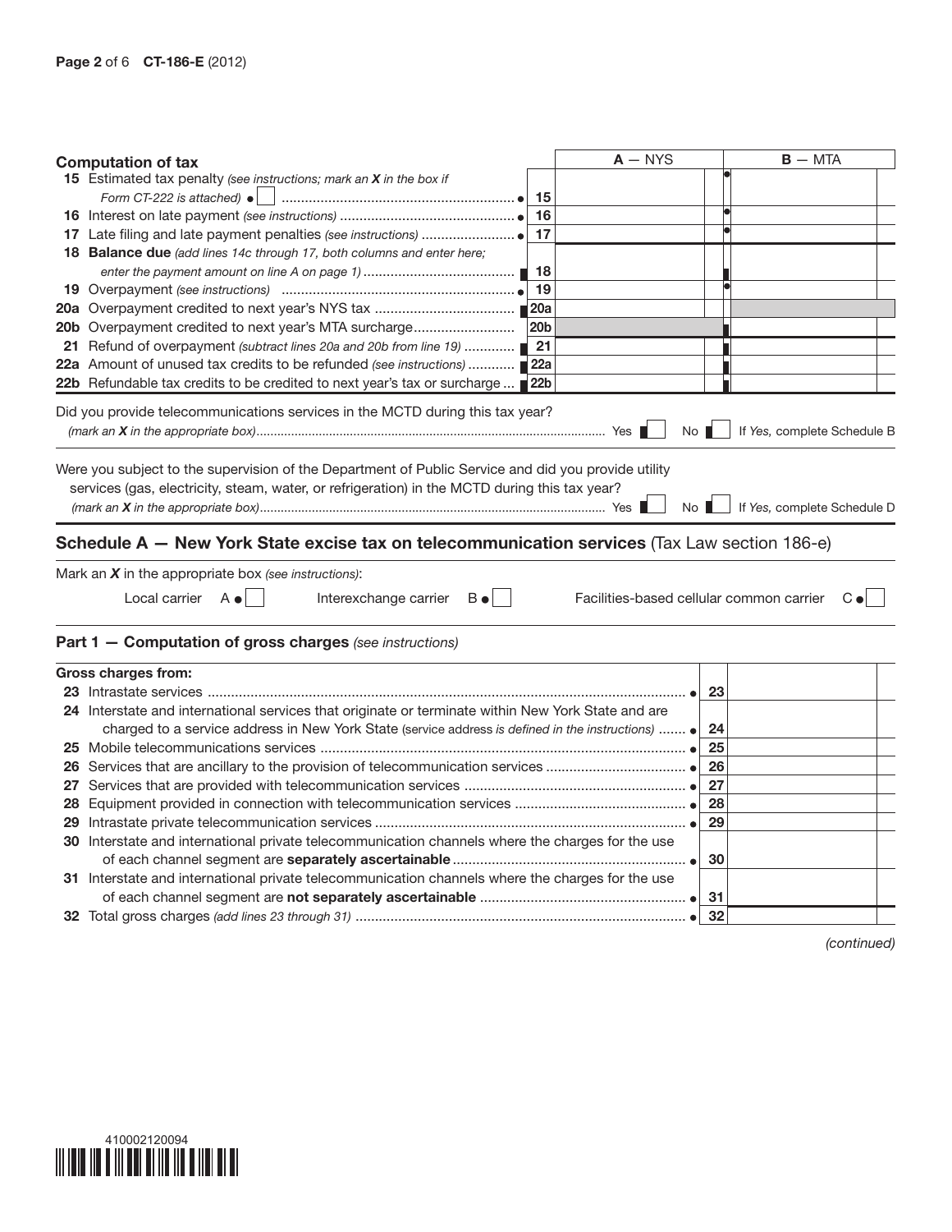| <b>Computation of tax</b>                                                                           | $A - NYS$ | $B - MTA$                                               |
|-----------------------------------------------------------------------------------------------------|-----------|---------------------------------------------------------|
| 15 Estimated tax penalty (see instructions; mark an X in the box if                                 |           |                                                         |
| Form CT-222 is attached) $\bullet$<br>15                                                            |           |                                                         |
| 16                                                                                                  |           |                                                         |
| 17                                                                                                  |           |                                                         |
| 18 Balance due (add lines 14c through 17, both columns and enter here;                              |           |                                                         |
| 18                                                                                                  |           |                                                         |
| 19                                                                                                  |           |                                                         |
|                                                                                                     |           |                                                         |
| 20b Overpayment credited to next year's MTA surcharge<br>20 <sub>b</sub>                            |           |                                                         |
| 21<br>21 Refund of overpayment (subtract lines 20a and 20b from line 19)                            |           |                                                         |
| 22a Amount of unused tax credits to be refunded (see instructions)<br>22a                           |           |                                                         |
| 22 <sub>b</sub><br>22b Refundable tax credits to be credited to next year's tax or surcharge        |           |                                                         |
| Did you provide telecommunications services in the MCTD during this tax year?                       |           |                                                         |
|                                                                                                     |           | If Yes, complete Schedule B<br>$No$ $\blacksquare$      |
|                                                                                                     |           |                                                         |
| Were you subject to the supervision of the Department of Public Service and did you provide utility |           |                                                         |
| services (gas, electricity, steam, water, or refrigeration) in the MCTD during this tax year?       |           |                                                         |
|                                                                                                     | No        | If Yes, complete Schedule D                             |
|                                                                                                     |           |                                                         |
| Schedule A - New York State excise tax on telecommunication services (Tax Law section 186-e)        |           |                                                         |
|                                                                                                     |           |                                                         |
| Mark an $X$ in the appropriate box (see instructions):                                              |           |                                                         |
| Local carrier $A \bullet$<br>Interexchange carrier<br>$B \bullet  $                                 |           | Facilities-based cellular common carrier<br>$C \bullet$ |
|                                                                                                     |           |                                                         |
| Part 1 - Computation of gross charges (see instructions)                                            |           |                                                         |
|                                                                                                     |           |                                                         |
| <b>Gross charges from:</b>                                                                          |           | 23                                                      |
| 24 Interstate and international services that originate or terminate within New York State and are  |           |                                                         |
| charged to a service address in New York State (service address is defined in the instructions)  .  |           | 24                                                      |
|                                                                                                     |           | 25                                                      |
|                                                                                                     |           | 26                                                      |
|                                                                                                     |           | 27                                                      |
|                                                                                                     |           |                                                         |
|                                                                                                     |           | 28                                                      |
|                                                                                                     |           | 29                                                      |
| 30 Interstate and international private telecommunication channels where the charges for the use    |           |                                                         |
|                                                                                                     |           |                                                         |
|                                                                                                     |           | 30                                                      |
| 31 Interstate and international private telecommunication channels where the charges for the use    |           |                                                         |
|                                                                                                     |           | -31<br>32                                               |

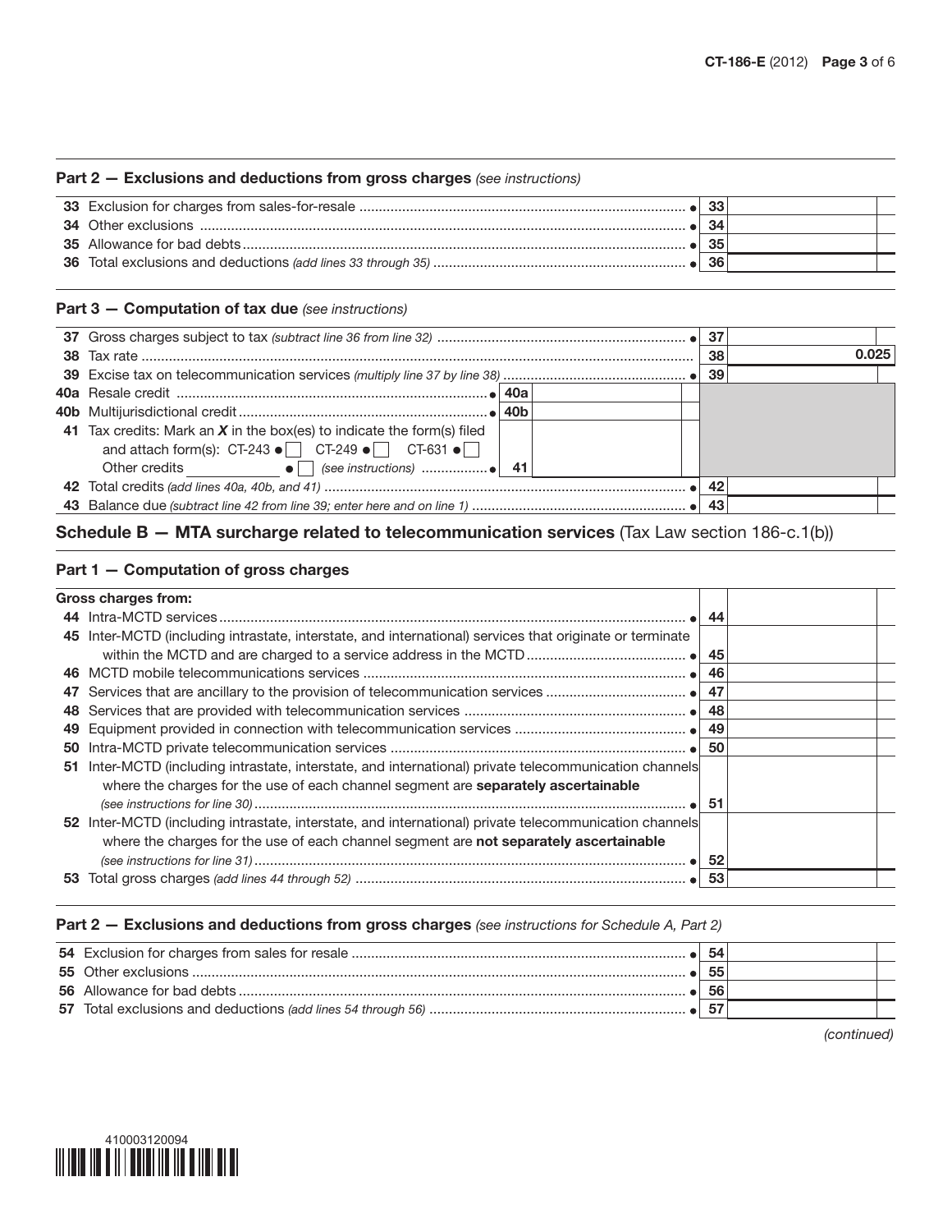#### Part 2 — Exclusions and deductions from gross charges *(see instructions)*

|  | -33 |  |
|--|-----|--|
|  | -34 |  |
|  | -35 |  |
|  |     |  |

#### Part 3 — Computation of tax due *(see instructions)*

|                                                                                                                                                                  |  | 38 | 0.025 |  |
|------------------------------------------------------------------------------------------------------------------------------------------------------------------|--|----|-------|--|
|                                                                                                                                                                  |  | 39 |       |  |
|                                                                                                                                                                  |  |    |       |  |
|                                                                                                                                                                  |  |    |       |  |
| 41 Tax credits: Mark an $X$ in the box(es) to indicate the form(s) filed<br>and attach form(s): CT-243 $\bullet$ $\Box$ CT-249 $\bullet$ $\Box$ CT-631 $\bullet$ |  |    |       |  |
|                                                                                                                                                                  |  |    |       |  |
|                                                                                                                                                                  |  | 42 |       |  |
|                                                                                                                                                                  |  |    |       |  |

## Schedule B - MTA surcharge related to telecommunication services (Tax Law section 186-c.1(b))

### Part 1 — Computation of gross charges

|     | Gross charges from:                                                                                      |     |  |
|-----|----------------------------------------------------------------------------------------------------------|-----|--|
|     |                                                                                                          | -44 |  |
|     | 45 Inter-MCTD (including intrastate, interstate, and international) services that originate or terminate |     |  |
|     |                                                                                                          | 45  |  |
| 46. |                                                                                                          | 46  |  |
| 47  |                                                                                                          | 47  |  |
| 48  |                                                                                                          | 48  |  |
| 49  |                                                                                                          |     |  |
| 50  |                                                                                                          | 50  |  |
| 51  | Inter-MCTD (including intrastate, interstate, and international) private telecommunication channels      |     |  |
|     | where the charges for the use of each channel segment are separately ascertainable                       |     |  |
|     |                                                                                                          |     |  |
|     | 52 Inter-MCTD (including intrastate, interstate, and international) private telecommunication channels   |     |  |
|     | where the charges for the use of each channel segment are not separately ascertainable                   |     |  |
|     |                                                                                                          | 52  |  |
| 53  |                                                                                                          | 53  |  |
|     |                                                                                                          |     |  |

#### Part 2 — Exclusions and deductions from gross charges *(see instructions for Schedule A, Part 2)*

|  | 55 |  |
|--|----|--|
|  | 56 |  |
|  |    |  |

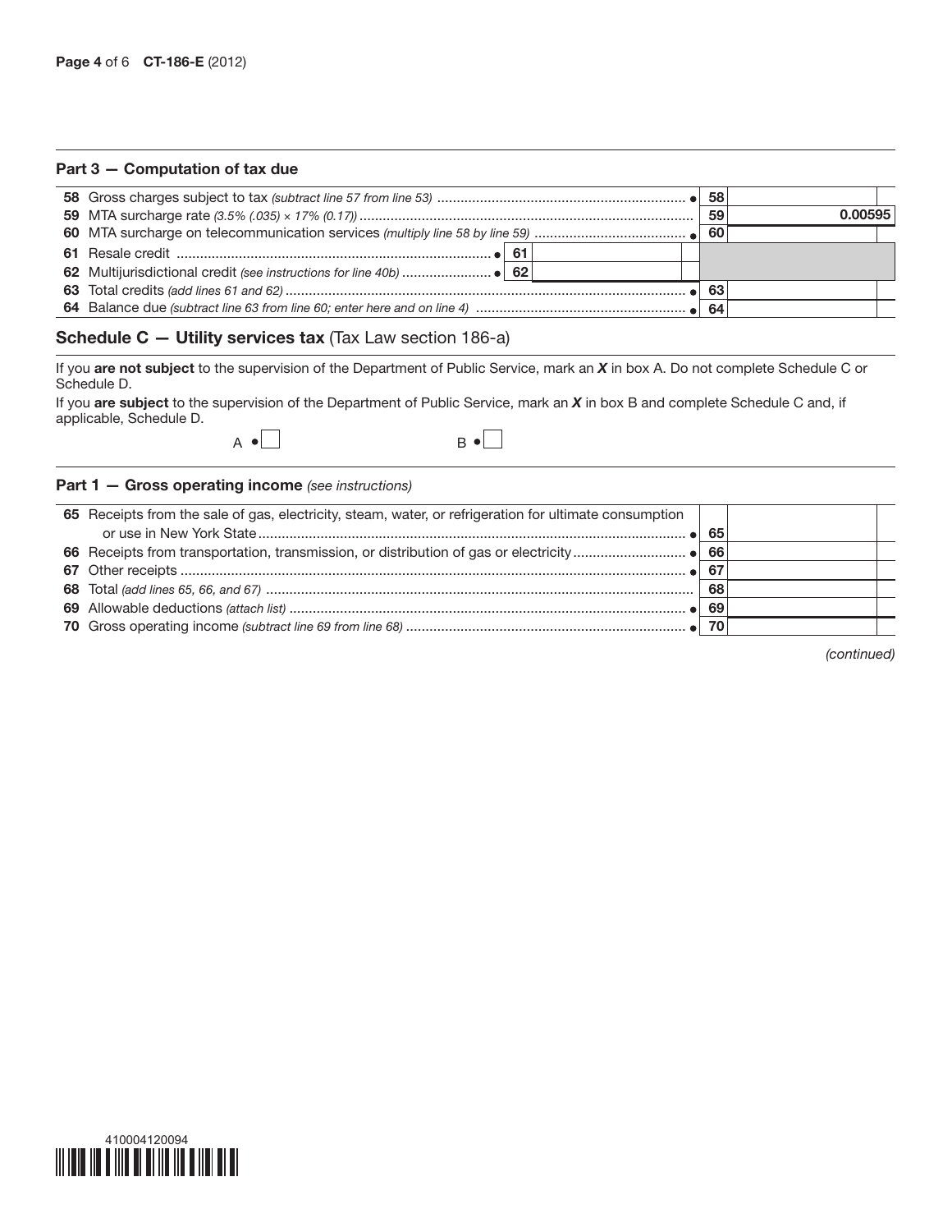#### Part 3 — Computation of tax due

|  |  | -58 |         |  |
|--|--|-----|---------|--|
|  |  | 59  | 0.00595 |  |
|  |  |     |         |  |
|  |  |     |         |  |
|  |  |     |         |  |
|  |  | 63  |         |  |
|  |  |     |         |  |

## Schedule C — Utility services tax (Tax Law section 186-a)

If you are not subject to the supervision of the Department of Public Service, mark an *X* in box A. Do not complete Schedule C or Schedule D.

If you are subject to the supervision of the Department of Public Service, mark an *X* in box B and complete Schedule C and, if applicable, Schedule D.



#### Part 1 — Gross operating income *(see instructions)*

| 65 Receipts from the sale of gas, electricity, steam, water, or refrigeration for ultimate consumption |    |  |
|--------------------------------------------------------------------------------------------------------|----|--|
|                                                                                                        | 65 |  |
|                                                                                                        |    |  |
|                                                                                                        | 67 |  |
|                                                                                                        | 68 |  |
|                                                                                                        | 69 |  |
|                                                                                                        |    |  |

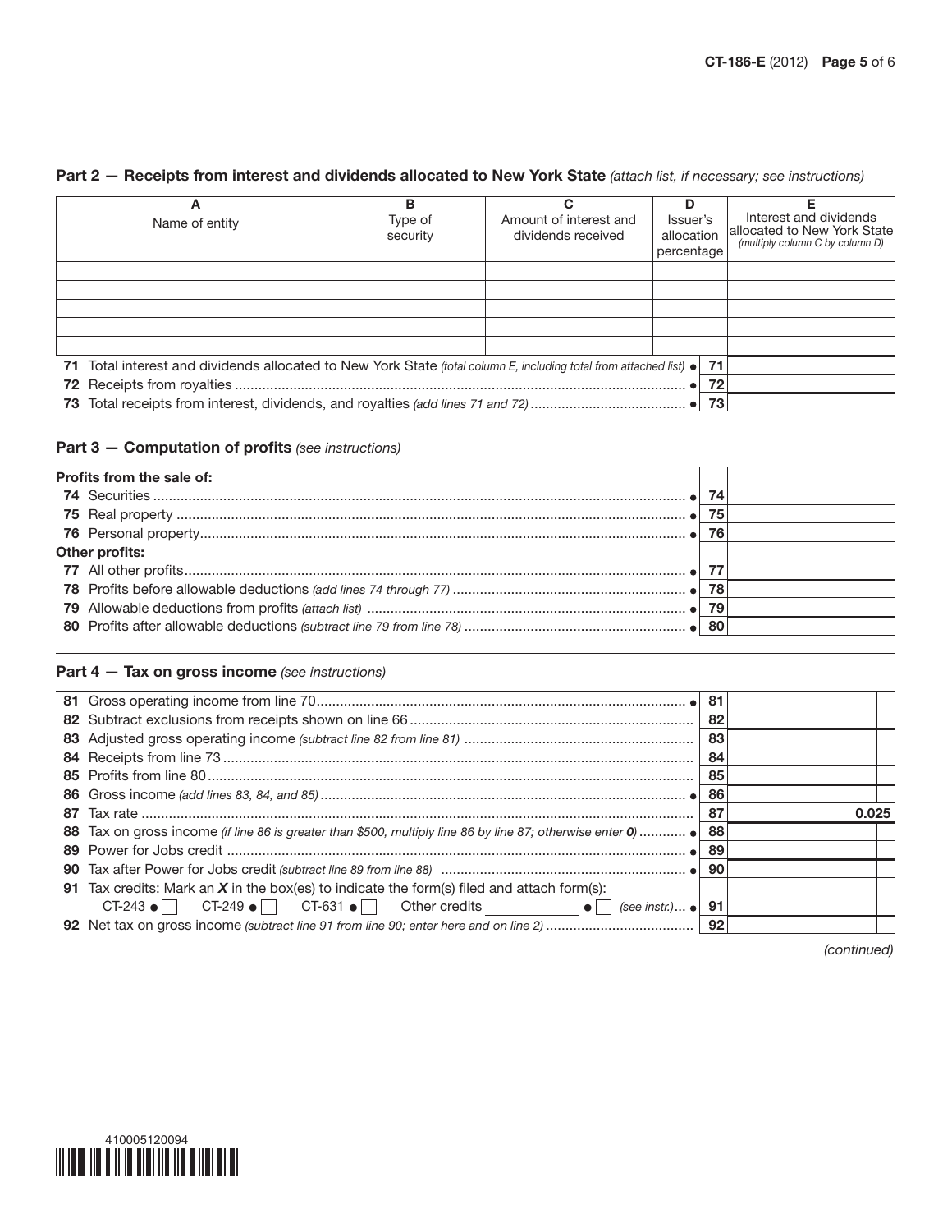# Part 2 — Receipts from interest and dividends allocated to New York State *(attach list, if necessary; see instructions)*

| Α<br>Name of entity                                                                                                        | в<br>Type of<br>security | Amount of interest and<br>dividends received | D<br>Issuer's<br>allocation<br>percentage | Interest and dividends<br>allocated to New York State<br>(multiply column C by column D) |
|----------------------------------------------------------------------------------------------------------------------------|--------------------------|----------------------------------------------|-------------------------------------------|------------------------------------------------------------------------------------------|
|                                                                                                                            |                          |                                              |                                           |                                                                                          |
|                                                                                                                            |                          |                                              |                                           |                                                                                          |
|                                                                                                                            |                          |                                              |                                           |                                                                                          |
| 71 Total interest and dividends allocated to New York State (total column E, including total from attached list) $\bullet$ |                          |                                              |                                           | 71                                                                                       |
|                                                                                                                            |                          |                                              |                                           | 72                                                                                       |
|                                                                                                                            |                          |                                              |                                           | 73                                                                                       |

## Part 3 — Computation of profits *(see instructions)*

| Profits from the sale of: |    |  |
|---------------------------|----|--|
|                           |    |  |
|                           | 75 |  |
|                           | 76 |  |
| Other profits:            |    |  |
|                           |    |  |
|                           |    |  |
|                           |    |  |
|                           |    |  |

## Part 4 — Tax on gross income *(see instructions)*

|                                                                                                           | -81 |       |
|-----------------------------------------------------------------------------------------------------------|-----|-------|
|                                                                                                           | 82  |       |
|                                                                                                           | 83  |       |
|                                                                                                           | 84  |       |
|                                                                                                           | 85  |       |
|                                                                                                           | 86  |       |
|                                                                                                           | 87  | 0.025 |
| 88 Tax on gross income (if line 86 is greater than \$500, multiply line 86 by line 87; otherwise enter 0) | 88  |       |
|                                                                                                           | 89  |       |
|                                                                                                           |     |       |
| 91 Tax credits: Mark an $X$ in the box(es) to indicate the form(s) filed and attach form(s):              |     |       |
| CT-243 $\bullet$ CT-249 $\bullet$ CT-631 $\bullet$ Other credits $\bullet$ (see instr.) $\bullet$         | 91  |       |
|                                                                                                           |     |       |
|                                                                                                           |     |       |